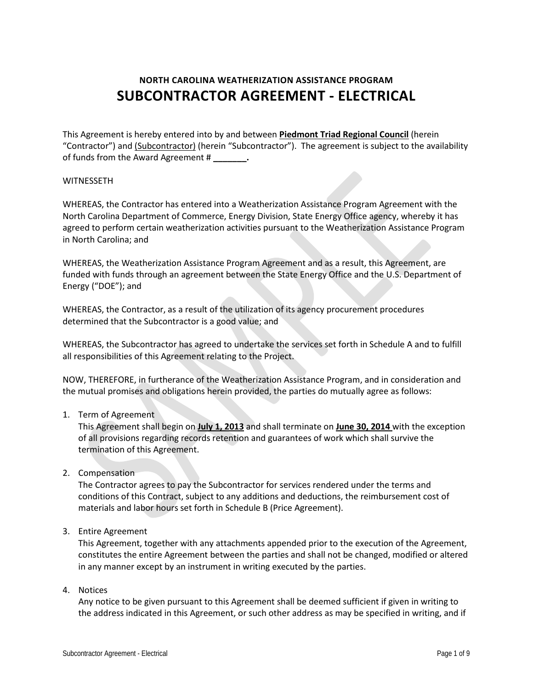# **NORTH CAROLINA WEATHERIZATION ASSISTANCE PROGRAM SUBCONTRACTOR AGREEMENT - ELECTRICAL**

This Agreement is hereby entered into by and between **Piedmont Triad Regional Council** (herein "Contractor") and (Subcontractor) (herein "Subcontractor"). The agreement is subject to the availability of funds from the Award Agreement # **\_\_\_\_\_\_\_.**

#### WITNESSETH

WHEREAS, the Contractor has entered into a Weatherization Assistance Program Agreement with the North Carolina Department of Commerce, Energy Division, State Energy Office agency, whereby it has agreed to perform certain weatherization activities pursuant to the Weatherization Assistance Program in North Carolina; and

WHEREAS, the Weatherization Assistance Program Agreement and as a result, this Agreement, are funded with funds through an agreement between the State Energy Office and the U.S. Department of Energy ("DOE"); and

WHEREAS, the Contractor, as a result of the utilization of its agency procurement procedures determined that the Subcontractor is a good value; and

WHEREAS, the Subcontractor has agreed to undertake the services set forth in Schedule A and to fulfill all responsibilities of this Agreement relating to the Project.

NOW, THEREFORE, in furtherance of the Weatherization Assistance Program, and in consideration and the mutual promises and obligations herein provided, the parties do mutually agree as follows:

1. Term of Agreement

This Agreement shall begin on **July 1, 2013** and shall terminate on **June 30, 2014** with the exception of all provisions regarding records retention and guarantees of work which shall survive the termination of this Agreement.

2. Compensation

The Contractor agrees to pay the Subcontractor for services rendered under the terms and conditions of this Contract, subject to any additions and deductions, the reimbursement cost of materials and labor hours set forth in Schedule B (Price Agreement).

#### 3. Entire Agreement

This Agreement, together with any attachments appended prior to the execution of the Agreement, constitutes the entire Agreement between the parties and shall not be changed, modified or altered in any manner except by an instrument in writing executed by the parties.

4. Notices

Any notice to be given pursuant to this Agreement shall be deemed sufficient if given in writing to the address indicated in this Agreement, or such other address as may be specified in writing, and if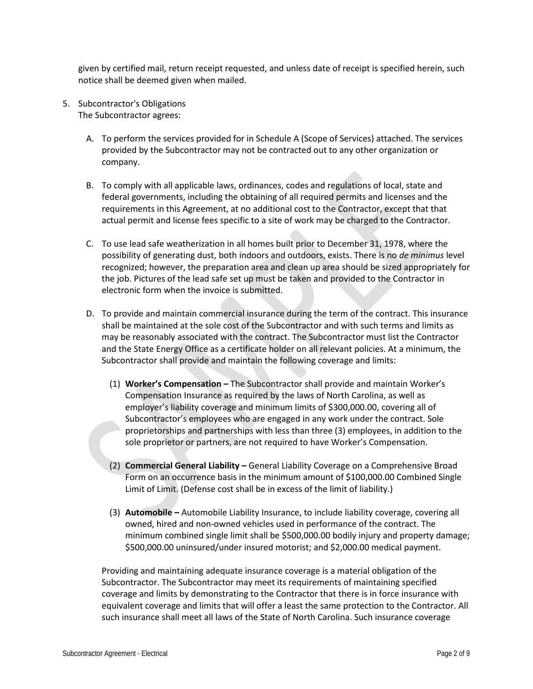given by certified mail, return receipt requested, and unless date of receipt is specified herein, such notice shall be deemed given when mailed.

- 5. Subcontractor's Obligations The Subcontractor agrees:
	- A. To perform the services provided for in Schedule A (Scope of Services) attached. The services provided by the Subcontractor may not be contracted out to any other organization or company.
	- B. To comply with all applicable laws, ordinances, codes and regulations of local, state and federal governments, including the obtaining of all required permits and licenses and the requirements in this Agreement, at no additional cost to the Contractor, except that that actual permit and license fees specific to a site of work may be charged to the Contractor.
	- C. To use lead safe weatherization in all homes built prior to December 31, 1978, where the possibility of generating dust, both indoors and outdoors, exists. There is no *de minimus* level recognized; however, the preparation area and clean up area should be sized appropriately for the job. Pictures of the lead safe set up must be taken and provided to the Contractor in electronic form when the invoice is submitted.
	- D. To provide and maintain commercial insurance during the term of the contract. This insurance shall be maintained at the sole cost of the Subcontractor and with such terms and limits as may be reasonably associated with the contract. The Subcontractor must list the Contractor and the State Energy Office as a certificate holder on all relevant policies. At a minimum, the Subcontractor shall provide and maintain the following coverage and limits:
		- (1) **Worker's Compensation –** The Subcontractor shall provide and maintain Worker's Compensation Insurance as required by the laws of North Carolina, as well as employer's liability coverage and minimum limits of \$300,000.00, covering all of Subcontractor's employees who are engaged in any work under the contract. Sole proprietorships and partnerships with less than three (3) employees, in addition to the sole proprietor or partners, are not required to have Worker's Compensation.
		- (2) **Commercial General Liability –** General Liability Coverage on a Comprehensive Broad Form on an occurrence basis in the minimum amount of \$100,000.00 Combined Single Limit of Limit. (Defense cost shall be in excess of the limit of liability.)
		- (3) **Automobile –** Automobile Liability Insurance, to include liability coverage, covering all owned, hired and non-owned vehicles used in performance of the contract. The minimum combined single limit shall be \$500,000.00 bodily injury and property damage; \$500,000.00 uninsured/under insured motorist; and \$2,000.00 medical payment.

Providing and maintaining adequate insurance coverage is a material obligation of the Subcontractor. The Subcontractor may meet its requirements of maintaining specified coverage and limits by demonstrating to the Contractor that there is in force insurance with equivalent coverage and limits that will offer a least the same protection to the Contractor. All such insurance shall meet all laws of the State of North Carolina. Such insurance coverage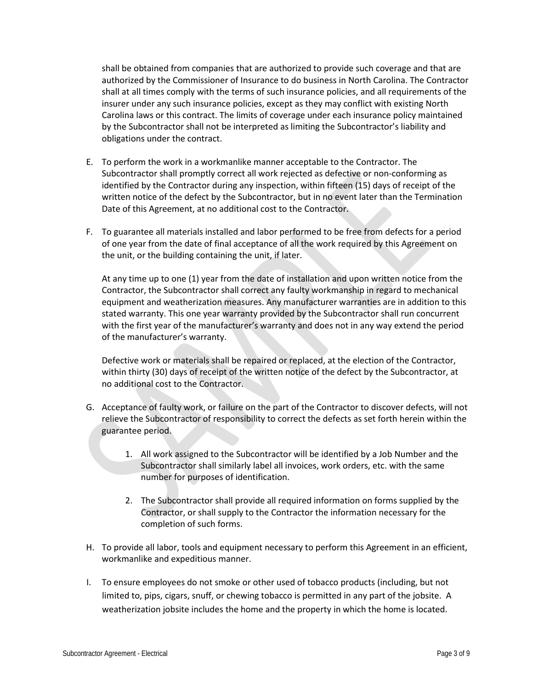shall be obtained from companies that are authorized to provide such coverage and that are authorized by the Commissioner of Insurance to do business in North Carolina. The Contractor shall at all times comply with the terms of such insurance policies, and all requirements of the insurer under any such insurance policies, except as they may conflict with existing North Carolina laws or this contract. The limits of coverage under each insurance policy maintained by the Subcontractor shall not be interpreted as limiting the Subcontractor's liability and obligations under the contract.

- E. To perform the work in a workmanlike manner acceptable to the Contractor. The Subcontractor shall promptly correct all work rejected as defective or non-conforming as identified by the Contractor during any inspection, within fifteen (15) days of receipt of the written notice of the defect by the Subcontractor, but in no event later than the Termination Date of this Agreement, at no additional cost to the Contractor.
- F. To guarantee all materials installed and labor performed to be free from defects for a period of one year from the date of final acceptance of all the work required by this Agreement on the unit, or the building containing the unit, if later.

At any time up to one (1) year from the date of installation and upon written notice from the Contractor, the Subcontractor shall correct any faulty workmanship in regard to mechanical equipment and weatherization measures. Any manufacturer warranties are in addition to this stated warranty. This one year warranty provided by the Subcontractor shall run concurrent with the first year of the manufacturer's warranty and does not in any way extend the period of the manufacturer's warranty.

Defective work or materials shall be repaired or replaced, at the election of the Contractor, within thirty (30) days of receipt of the written notice of the defect by the Subcontractor, at no additional cost to the Contractor.

- G. Acceptance of faulty work, or failure on the part of the Contractor to discover defects, will not relieve the Subcontractor of responsibility to correct the defects as set forth herein within the guarantee period.
	- 1. All work assigned to the Subcontractor will be identified by a Job Number and the Subcontractor shall similarly label all invoices, work orders, etc. with the same number for purposes of identification.
	- 2. The Subcontractor shall provide all required information on forms supplied by the Contractor, or shall supply to the Contractor the information necessary for the completion of such forms.
- H. To provide all labor, tools and equipment necessary to perform this Agreement in an efficient, workmanlike and expeditious manner.
- I. To ensure employees do not smoke or other used of tobacco products (including, but not limited to, pips, cigars, snuff, or chewing tobacco is permitted in any part of the jobsite. A weatherization jobsite includes the home and the property in which the home is located.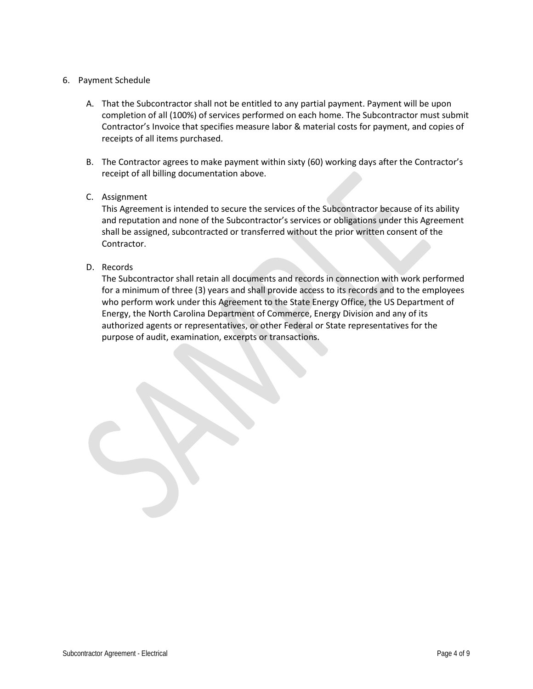#### 6. Payment Schedule

- A. That the Subcontractor shall not be entitled to any partial payment. Payment will be upon completion of all (100%) of services performed on each home. The Subcontractor must submit Contractor's Invoice that specifies measure labor & material costs for payment, and copies of receipts of all items purchased.
- B. The Contractor agrees to make payment within sixty (60) working days after the Contractor's receipt of all billing documentation above.

## C. Assignment

This Agreement is intended to secure the services of the Subcontractor because of its ability and reputation and none of the Subcontractor's services or obligations under this Agreement shall be assigned, subcontracted or transferred without the prior written consent of the Contractor.

D. Records

The Subcontractor shall retain all documents and records in connection with work performed for a minimum of three (3) years and shall provide access to its records and to the employees who perform work under this Agreement to the State Energy Office, the US Department of Energy, the North Carolina Department of Commerce, Energy Division and any of its authorized agents or representatives, or other Federal or State representatives for the purpose of audit, examination, excerpts or transactions.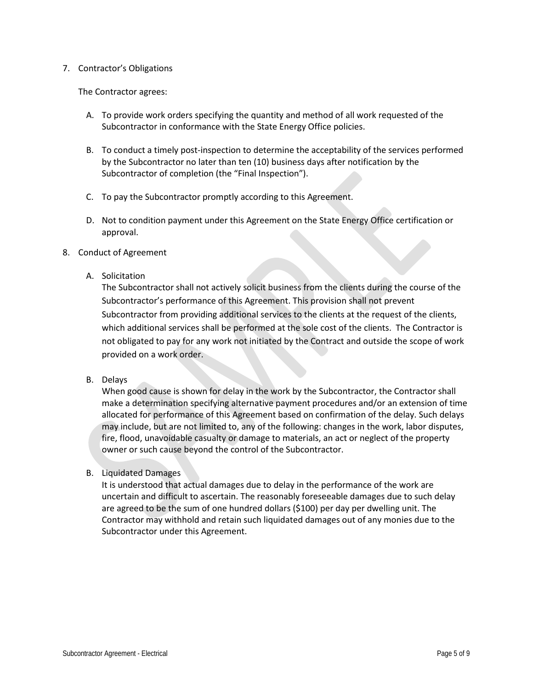#### 7. Contractor's Obligations

The Contractor agrees:

- A. To provide work orders specifying the quantity and method of all work requested of the Subcontractor in conformance with the State Energy Office policies.
- B. To conduct a timely post-inspection to determine the acceptability of the services performed by the Subcontractor no later than ten (10) business days after notification by the Subcontractor of completion (the "Final Inspection").
- C. To pay the Subcontractor promptly according to this Agreement.
- D. Not to condition payment under this Agreement on the State Energy Office certification or approval.
- 8. Conduct of Agreement
	- A. Solicitation

The Subcontractor shall not actively solicit business from the clients during the course of the Subcontractor's performance of this Agreement. This provision shall not prevent Subcontractor from providing additional services to the clients at the request of the clients, which additional services shall be performed at the sole cost of the clients. The Contractor is not obligated to pay for any work not initiated by the Contract and outside the scope of work provided on a work order.

B. Delays

When good cause is shown for delay in the work by the Subcontractor, the Contractor shall make a determination specifying alternative payment procedures and/or an extension of time allocated for performance of this Agreement based on confirmation of the delay. Such delays may include, but are not limited to, any of the following: changes in the work, labor disputes, fire, flood, unavoidable casualty or damage to materials, an act or neglect of the property owner or such cause beyond the control of the Subcontractor.

B. Liquidated Damages

It is understood that actual damages due to delay in the performance of the work are uncertain and difficult to ascertain. The reasonably foreseeable damages due to such delay are agreed to be the sum of one hundred dollars (\$100) per day per dwelling unit. The Contractor may withhold and retain such liquidated damages out of any monies due to the Subcontractor under this Agreement.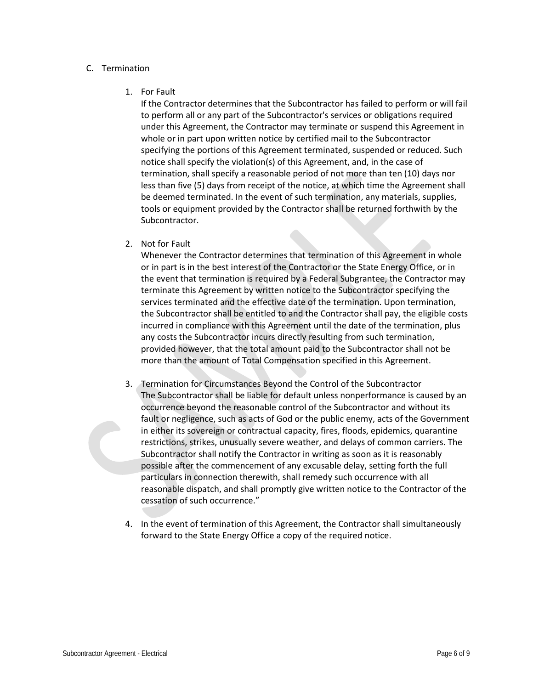#### C. Termination

#### 1. For Fault

If the Contractor determines that the Subcontractor has failed to perform or will fail to perform all or any part of the Subcontractor's services or obligations required under this Agreement, the Contractor may terminate or suspend this Agreement in whole or in part upon written notice by certified mail to the Subcontractor specifying the portions of this Agreement terminated, suspended or reduced. Such notice shall specify the violation(s) of this Agreement, and, in the case of termination, shall specify a reasonable period of not more than ten (10) days nor less than five (5) days from receipt of the notice, at which time the Agreement shall be deemed terminated. In the event of such termination, any materials, supplies, tools or equipment provided by the Contractor shall be returned forthwith by the Subcontractor.

## 2. Not for Fault

Whenever the Contractor determines that termination of this Agreement in whole or in part is in the best interest of the Contractor or the State Energy Office, or in the event that termination is required by a Federal Subgrantee, the Contractor may terminate this Agreement by written notice to the Subcontractor specifying the services terminated and the effective date of the termination. Upon termination, the Subcontractor shall be entitled to and the Contractor shall pay, the eligible costs incurred in compliance with this Agreement until the date of the termination, plus any costs the Subcontractor incurs directly resulting from such termination, provided however, that the total amount paid to the Subcontractor shall not be more than the amount of Total Compensation specified in this Agreement.

- 3. Termination for Circumstances Beyond the Control of the Subcontractor The Subcontractor shall be liable for default unless nonperformance is caused by an occurrence beyond the reasonable control of the Subcontractor and without its fault or negligence, such as acts of God or the public enemy, acts of the Government in either its sovereign or contractual capacity, fires, floods, epidemics, quarantine restrictions, strikes, unusually severe weather, and delays of common carriers. The Subcontractor shall notify the Contractor in writing as soon as it is reasonably possible after the commencement of any excusable delay, setting forth the full particulars in connection therewith, shall remedy such occurrence with all reasonable dispatch, and shall promptly give written notice to the Contractor of the cessation of such occurrence."
- 4. In the event of termination of this Agreement, the Contractor shall simultaneously forward to the State Energy Office a copy of the required notice.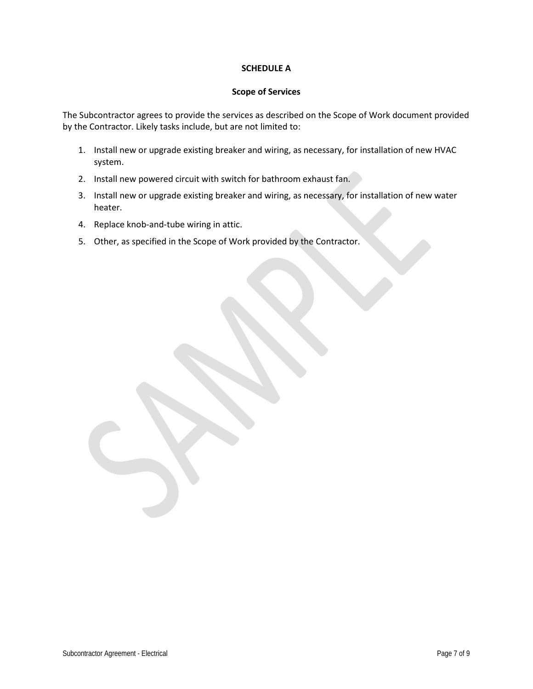#### **SCHEDULE A**

#### **Scope of Services**

The Subcontractor agrees to provide the services as described on the Scope of Work document provided by the Contractor. Likely tasks include, but are not limited to:

- 1. Install new or upgrade existing breaker and wiring, as necessary, for installation of new HVAC system.
- 2. Install new powered circuit with switch for bathroom exhaust fan.
- 3. Install new or upgrade existing breaker and wiring, as necessary, for installation of new water heater.
- 4. Replace knob-and-tube wiring in attic.
- 5. Other, as specified in the Scope of Work provided by the Contractor.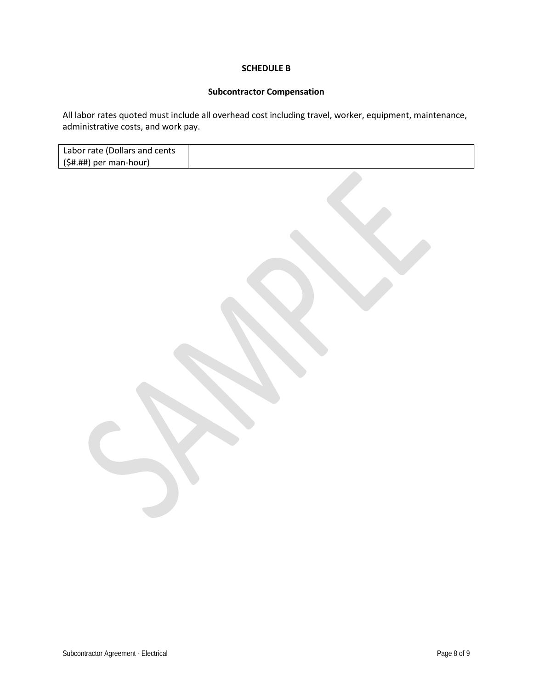#### **SCHEDULE B**

# **Subcontractor Compensation**

All labor rates quoted must include all overhead cost including travel, worker, equipment, maintenance, administrative costs, and work pay.

| Labor rate (Dollars and cents |  |
|-------------------------------|--|
| $($ \$#.##) per man-hour)     |  |